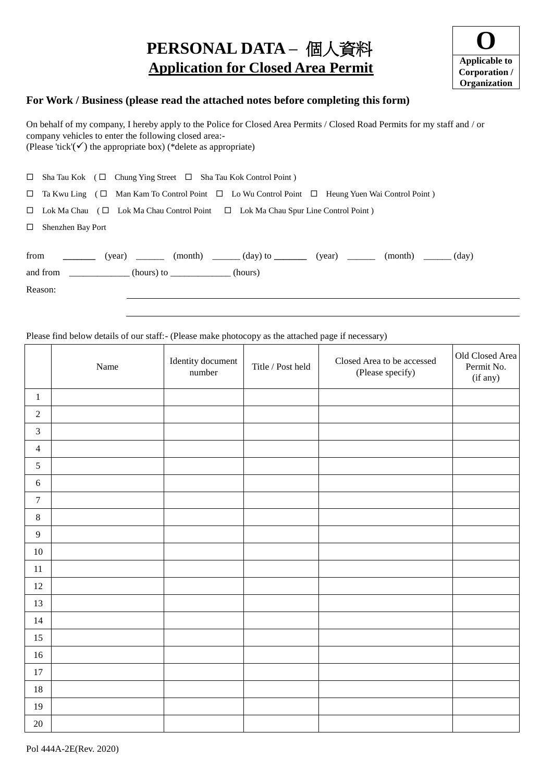# **PERSONAL DATA –** 個人資料  **Application for Closed Area Permit**



## **For Work / Business (please read the attached notes before completing this form)**

On behalf of my company, I hereby apply to the Police for Closed Area Permits / Closed Road Permits for my staff and / or company vehicles to enter the following closed area:- (Please 'tick'( $\checkmark$ ) the appropriate box) (\*delete as appropriate)

|        | $\Box$ Sha Tau Kok ( $\Box$ Chung Ying Street $\Box$ Sha Tau Kok Control Point)                                      |  |
|--------|----------------------------------------------------------------------------------------------------------------------|--|
|        | $\Box$ Ta Kwu Ling ( $\Box$ Man Kam To Control Point $\Box$ Lo Wu Control Point $\Box$ Heung Yuen Wai Control Point) |  |
|        | $\Box$ Lok Ma Chau ( $\Box$ Lok Ma Chau Control Point $\Box$ Lok Ma Chau Spur Line Control Point)                    |  |
| $\Box$ | Shenzhen Bay Port                                                                                                    |  |
|        |                                                                                                                      |  |
|        | from $\qquad \qquad$<br>(month) (day)                                                                                |  |
|        | and from $\qquad \qquad$ (hours) to $\qquad$ (hours)                                                                 |  |
|        |                                                                                                                      |  |

Reason:

#### Please find below details of our staff:- (Please make photocopy as the attached page if necessary)

|                  | Name | Identity document<br>number | Title / Post held | Closed Area to be accessed<br>(Please specify) | Old Closed Area<br>Permit No.<br>(if any) |
|------------------|------|-----------------------------|-------------------|------------------------------------------------|-------------------------------------------|
| $\mathbf{1}$     |      |                             |                   |                                                |                                           |
| $\sqrt{2}$       |      |                             |                   |                                                |                                           |
| $\mathfrak{Z}$   |      |                             |                   |                                                |                                           |
| $\overline{4}$   |      |                             |                   |                                                |                                           |
| $\sqrt{5}$       |      |                             |                   |                                                |                                           |
| $\sqrt{6}$       |      |                             |                   |                                                |                                           |
| $\boldsymbol{7}$ |      |                             |                   |                                                |                                           |
| $\,8\,$          |      |                             |                   |                                                |                                           |
| $\overline{9}$   |      |                             |                   |                                                |                                           |
| $10\,$           |      |                             |                   |                                                |                                           |
| 11               |      |                             |                   |                                                |                                           |
| 12               |      |                             |                   |                                                |                                           |
| 13               |      |                             |                   |                                                |                                           |
| 14               |      |                             |                   |                                                |                                           |
| 15               |      |                             |                   |                                                |                                           |
| 16               |      |                             |                   |                                                |                                           |
| 17               |      |                             |                   |                                                |                                           |
| 18               |      |                             |                   |                                                |                                           |
| 19               |      |                             |                   |                                                |                                           |
| 20               |      |                             |                   |                                                |                                           |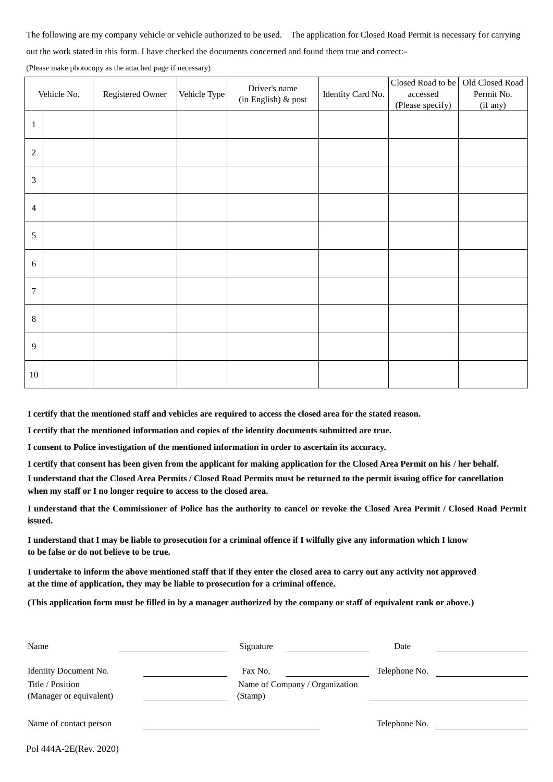The following are my company vehicle or vehicle authorized to be used. The application for Closed Road Permit is necessary for carrying

out the work stated in this form. I have checked the documents concerned and found them true and correct:-

(Please make photocopy as the attached page if necessary)

| Vehicle No.    |  | Registered Owner | Vehicle Type | Driver's name<br>(in English) & post | Identity Card No. | Closed Road to be<br>$\,$ accessed<br>(Please specify) | Old Closed Road<br>Permit No.<br>(if any) |
|----------------|--|------------------|--------------|--------------------------------------|-------------------|--------------------------------------------------------|-------------------------------------------|
| $\mathbf{1}$   |  |                  |              |                                      |                   |                                                        |                                           |
| $\sqrt{2}$     |  |                  |              |                                      |                   |                                                        |                                           |
| $\mathfrak{Z}$ |  |                  |              |                                      |                   |                                                        |                                           |
| $\overline{4}$ |  |                  |              |                                      |                   |                                                        |                                           |
| $\sqrt{5}$     |  |                  |              |                                      |                   |                                                        |                                           |
| 6              |  |                  |              |                                      |                   |                                                        |                                           |
| $\overline{7}$ |  |                  |              |                                      |                   |                                                        |                                           |
| $\,8\,$        |  |                  |              |                                      |                   |                                                        |                                           |
| $\mathbf{9}$   |  |                  |              |                                      |                   |                                                        |                                           |
| $10\,$         |  |                  |              |                                      |                   |                                                        |                                           |

**I certify that the mentioned staff and vehicles are required to access the closed area for the stated reason.**

**I certify that the mentioned information and copies of the identity documents submitted are true.**

**I consent to Police investigation of the mentioned information in order to ascertain its accuracy.**

**I certify that consent has been given from the applicant for making application for the Closed Area Permit on his / her behalf.**

**I understand that the Closed Area Permits / Closed Road Permits must be returned to the permit issuing office for cancellation when my staff or I no longer require to access to the closed area.**

**I understand that the Commissioner of Police has the authority to cancel or revoke the Closed Area Permit / Closed Road Permit issued.**

**I understand that I may be liable to prosecution for a criminal offence if I wilfully give any information which I know to be false or do not believe to be true.**

**I undertake to inform the above mentioned staff that if they enter the closed area to carry out any activity not approved at the time of application, they may be liable to prosecution for a criminal offence.**

**(This application form must be filled in by a manager authorized by the company or staff of equivalent rank or above.)**

| Name                                        | Signature                                 | Date          |  |
|---------------------------------------------|-------------------------------------------|---------------|--|
| Identity Document No.                       | Fax No.                                   | Telephone No. |  |
| Title / Position<br>(Manager or equivalent) | Name of Company / Organization<br>(Stamp) |               |  |
|                                             |                                           |               |  |
| Name of contact person                      |                                           | Telephone No. |  |
| Pol 444A-2E(Rev. 2020)                      |                                           |               |  |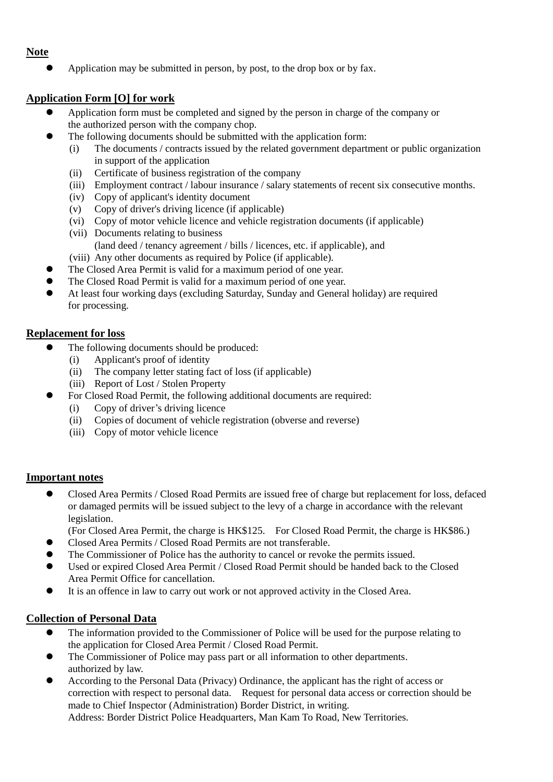# **Note**

Application may be submitted in person, by post, to the drop box or by fax.

# **Application Form [O] for work**

- Application form must be completed and signed by the person in charge of the company or the authorized person with the company chop.
- The following documents should be submitted with the application form:
	- (i) The documents / contracts issued by the related government department or public organization in support of the application
	- (ii) Certificate of business registration of the company
	- (iii) Employment contract / labour insurance / salary statements of recent six consecutive months.
	- (iv) Copy of applicant's identity document
	- (v) Copy of driver's driving licence (if applicable)
	- (vi) Copy of motor vehicle licence and vehicle registration documents (if applicable)
	- (vii) Documents relating to business (land deed / tenancy agreement / bills / licences, etc. if applicable), and
	- (viii) Any other documents as required by Police (if applicable).
- The Closed Area Permit is valid for a maximum period of one year.
- The Closed Road Permit is valid for a maximum period of one year.
- At least four working days (excluding Saturday, Sunday and General holiday) are required for processing.

### **Replacement for loss**

- The following documents should be produced:
	- (i) Applicant's proof of identity
	- (ii) The company letter stating fact of loss (if applicable)
	- (iii) Report of Lost / Stolen Property
- For Closed Road Permit, the following additional documents are required:
	- (i) Copy of driver's driving licence
	- (ii) Copies of document of vehicle registration (obverse and reverse)
	- (iii) Copy of motor vehicle licence

### **Important notes**

- Closed Area Permits / Closed Road Permits are issued free of charge but replacement for loss, defaced or damaged permits will be issued subject to the levy of a charge in accordance with the relevant legislation.
	- (For Closed Area Permit, the charge is HK\$125. For Closed Road Permit, the charge is HK\$86.)
- Closed Area Permits / Closed Road Permits are not transferable.
- The Commissioner of Police has the authority to cancel or revoke the permits issued.
- Used or expired Closed Area Permit / Closed Road Permit should be handed back to the Closed Area Permit Office for cancellation.
- It is an offence in law to carry out work or not approved activity in the Closed Area.

### **Collection of Personal Data**

- The information provided to the Commissioner of Police will be used for the purpose relating to the application for Closed Area Permit / Closed Road Permit.
- The Commissioner of Police may pass part or all information to other departments. authorized by law.
- According to the Personal Data (Privacy) Ordinance, the applicant has the right of access or correction with respect to personal data. Request for personal data access or correction should be made to Chief Inspector (Administration) Border District, in writing. Address: Border District Police Headquarters, Man Kam To Road, New Territories.